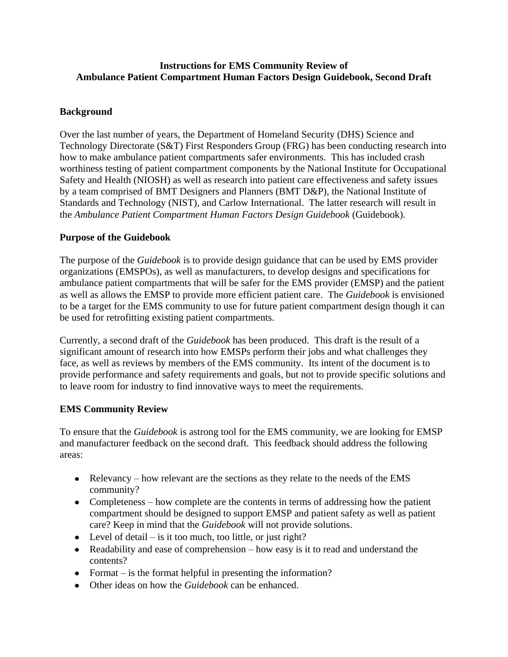## **Instructions for EMS Community Review of Ambulance Patient Compartment Human Factors Design Guidebook, Second Draft**

## **Background**

Over the last number of years, the Department of Homeland Security (DHS) Science and Technology Directorate (S&T) First Responders Group (FRG) has been conducting research into how to make ambulance patient compartments safer environments. This has included crash worthiness testing of patient compartment components by the National Institute for Occupational Safety and Health (NIOSH) as well as research into patient care effectiveness and safety issues by a team comprised of BMT Designers and Planners (BMT D&P), the National Institute of Standards and Technology (NIST), and Carlow International. The latter research will result in the *Ambulance Patient Compartment Human Factors Design Guidebook* (Guidebook).

## **Purpose of the Guidebook**

The purpose of the *Guidebook* is to provide design guidance that can be used by EMS provider organizations (EMSPOs), as well as manufacturers, to develop designs and specifications for ambulance patient compartments that will be safer for the EMS provider (EMSP) and the patient as well as allows the EMSP to provide more efficient patient care. The *Guidebook* is envisioned to be a target for the EMS community to use for future patient compartment design though it can be used for retrofitting existing patient compartments.

Currently, a second draft of the *Guidebook* has been produced. This draft is the result of a significant amount of research into how EMSPs perform their jobs and what challenges they face, as well as reviews by members of the EMS community. Its intent of the document is to provide performance and safety requirements and goals, but not to provide specific solutions and to leave room for industry to find innovative ways to meet the requirements.

## **EMS Community Review**

To ensure that the *Guidebook* is astrong tool for the EMS community, we are looking for EMSP and manufacturer feedback on the second draft. This feedback should address the following areas:

- Relevancy how relevant are the sections as they relate to the needs of the EMS community?
- Completeness how complete are the contents in terms of addressing how the patient compartment should be designed to support EMSP and patient safety as well as patient care? Keep in mind that the *Guidebook* will not provide solutions.
- Level of detail is it too much, too little, or just right?
- Readability and ease of comprehension how easy is it to read and understand the contents?
- Format is the format helpful in presenting the information?
- Other ideas on how the *Guidebook* can be enhanced.